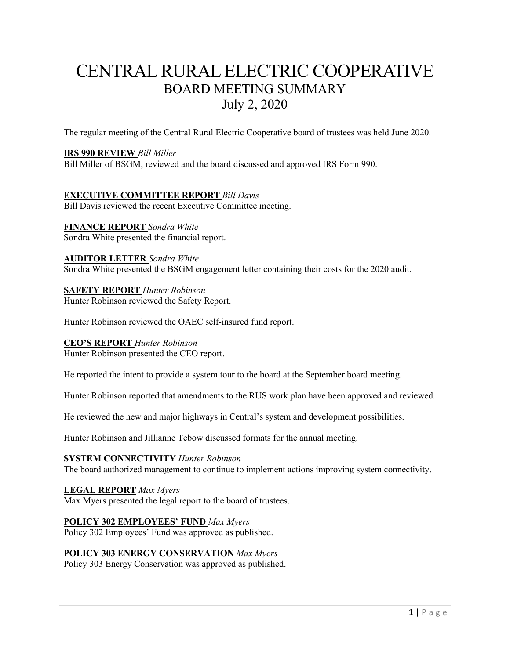# CENTRAL RURAL ELECTRIC COOPERATIVE BOARD MEETING SUMMARY July 2, 2020

The regular meeting of the Central Rural Electric Cooperative board of trustees was held June 2020.

## **IRS 990 REVIEW** *Bill Miller*

Bill Miller of BSGM, reviewed and the board discussed and approved IRS Form 990.

## **EXECUTIVE COMMITTEE REPORT** *Bill Davis*

Bill Davis reviewed the recent Executive Committee meeting.

## **FINANCE REPORT** *Sondra White*

Sondra White presented the financial report.

## **AUDITOR LETTER** *Sondra White*

Sondra White presented the BSGM engagement letter containing their costs for the 2020 audit.

## **SAFETY REPORT** *Hunter Robinson*

Hunter Robinson reviewed the Safety Report.

Hunter Robinson reviewed the OAEC self-insured fund report.

## **CEO'S REPORT** *Hunter Robinson*

Hunter Robinson presented the CEO report.

He reported the intent to provide a system tour to the board at the September board meeting.

Hunter Robinson reported that amendments to the RUS work plan have been approved and reviewed.

He reviewed the new and major highways in Central's system and development possibilities.

Hunter Robinson and Jillianne Tebow discussed formats for the annual meeting.

#### **SYSTEM CONNECTIVITY** *Hunter Robinson*

The board authorized management to continue to implement actions improving system connectivity.

## **LEGAL REPORT** *Max Myers*

Max Myers presented the legal report to the board of trustees.

## **POLICY 302 EMPLOYEES' FUND** *Max Myers*

Policy 302 Employees' Fund was approved as published.

## **POLICY 303 ENERGY CONSERVATION** *Max Myers*

Policy 303 Energy Conservation was approved as published.